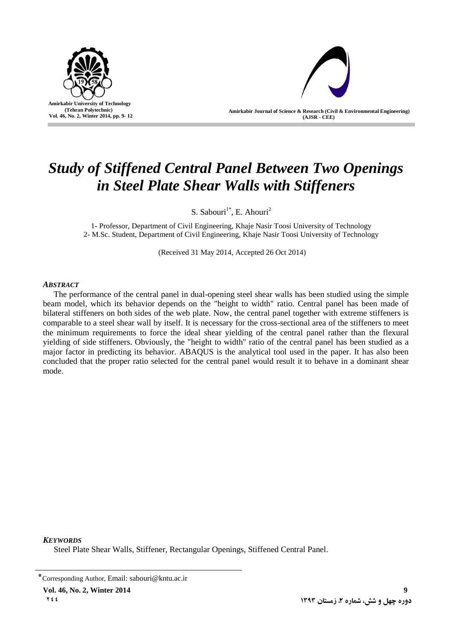



**Amirkabir Journal of Science & Research (Civil & Environmental Engineering) (AJSR - CEE)**

# *Study of Stiffened Central Panel Between Two Openings in Steel Plate Shear Walls with Stiffeners*

S. Sabouri<sup>1\*</sup>, E. Ahouri<sup>2</sup>

1- Professor, Department of Civil Engineering, Khaje Nasir Toosi University of Technology 2- M.Sc. Student, Department of Civil Engineering, Khaje Nasir Toosi University of Technology

(Received 31 May 2014, Accepted 26 Oct 2014)

## *ABSTRACT*

The performance of the central panel in dual-opening steel shear walls has been studied using the simple beam model, which its behavior depends on the "height to width" ratio. Central panel has been made of bilateral stiffeners on both sides of the web plate. Now, the central panel together with extreme stiffeners is comparable to a steel shear wall by itself. It is necessary for the cross-sectional area of the stiffeners to meet the minimum requirements to force the ideal shear yielding of the central panel rather than the flexural yielding of side stiffeners. Obviously, the "height to width" ratio of the central panel has been studied as a major factor in predicting its behavior. ABAQUS is the analytical tool used in the paper. It has also been concluded that the proper ratio selected for the central panel would result it to behave in a dominant shear mode.

*KEYWORDS*

Steel Plate Shear Walls, Stiffener, Rectangular Openings, Stiffened Central Panel.

<sup>٭</sup>Corresponding Author, Email: sabouri@kntu.ac.ir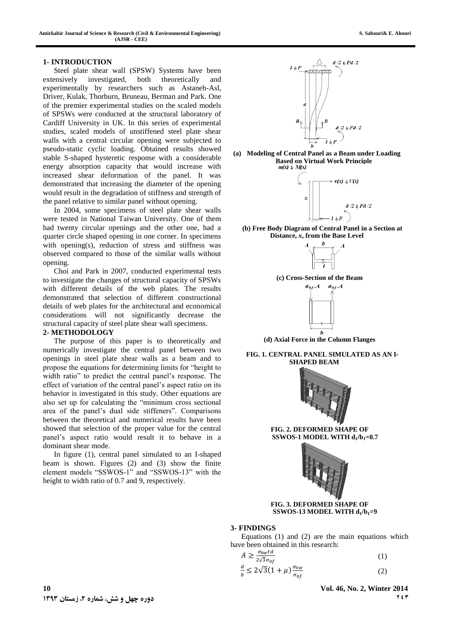#### **1- INTRODUCTION**

Steel plate shear wall (SPSW) Systems have been extensively investigated, both theoretically and experimentally by researchers such as Astaneh-Asl, Driver, Kulak, Thorburn, Bruneau, Berman and Park. One of the premier experimental studies on the scaled models of SPSWs were conducted at the structural laboratory of Cardiff University in UK. In this series of experimental studies, scaled models of unstiffened steel plate shear walls with a central circular opening were subjected to pseudo-static cyclic loading. Obtained results showed stable S-shaped hysteretic response with a considerable energy absorption capacity that would increase with increased shear deformation of the panel. It was demonstrated that increasing the diameter of the opening would result in the degradation of stiffness and strength of the panel relative to similar panel without opening.

In 2004, some specimens of steel plate shear walls were tested in National Taiwan University. One of them had twenty circular openings and the other one, had a quarter circle shaped opening in one corner. In specimens with opening(s), reduction of stress and stiffness was observed compared to those of the similar walls without opening.

Choi and Park in 2007, conducted experimental tests to investigate the changes of structural capacity of SPSWs with different details of the web plates. The results demonstrated that selection of different constructional details of web plates for the architectural and economical considerations will not significantly decrease the structural capacity of steel plate shear wall specimens.

#### **2- METHODOLOGY**

The purpose of this paper is to theoretically and numerically investigate the central panel between two openings in steel plate shear walls as a beam and to propose the equations for determining limits for "height to width ratio" to predict the central panel's response. The effect of variation of the central panel's aspect ratio on its behavior is investigated in this study. Other equations are also set up for calculating the "minimum cross sectional area of the panel's dual side stiffeners". Comparisons between the theoretical and numerical results have been showed that selection of the proper value for the central panel's aspect ratio would result it to behave in a dominant shear mode.

In figure (1), central panel simulated to an I-shaped beam is shown. Figures (2) and (3) show the finite element models "SSWOS-1" and "SSWOS-13" with the height to width ratio of 0.7 and 9, respectively.



**(a) Modeling of Central Panel as a Beam under Loading Based on Virtual Work Principle**<br> $m(x) \, L \, M(x)$ 



**(b) Free Body Diagram of Central Panel in a Section at Distance,** *x***, from the Base Level**







**(d) Axial Force in the Column Flanges**

**FIG. 1. CENTRAL PANEL SIMULATED AS AN I-SHAPED BEAM**



**FIG. 2. DEFORMED SHAPE OF SSWOS-1 MODEL WITH d<sup>1</sup> /b1=0.7**



## **FIG. 3. DEFORMED SHAPE OF SSWOS-13 MODEL WITH d<sup>1</sup> /b1=9**

## **3- FINDINGS**

Equations (1) and (2) are the main equations which have been obtained in this research:

$$
A \ge \frac{\sigma_{0w} t d}{2\sqrt{3}\sigma_{0f}}
$$
  
\n
$$
\frac{d}{b} \le 2\sqrt{3}(1+\mu)\frac{\sigma_{0w}}{\sigma_{0f}}
$$
\n(1)

 $\mathbf{Y} \in \mathbf{Y}$